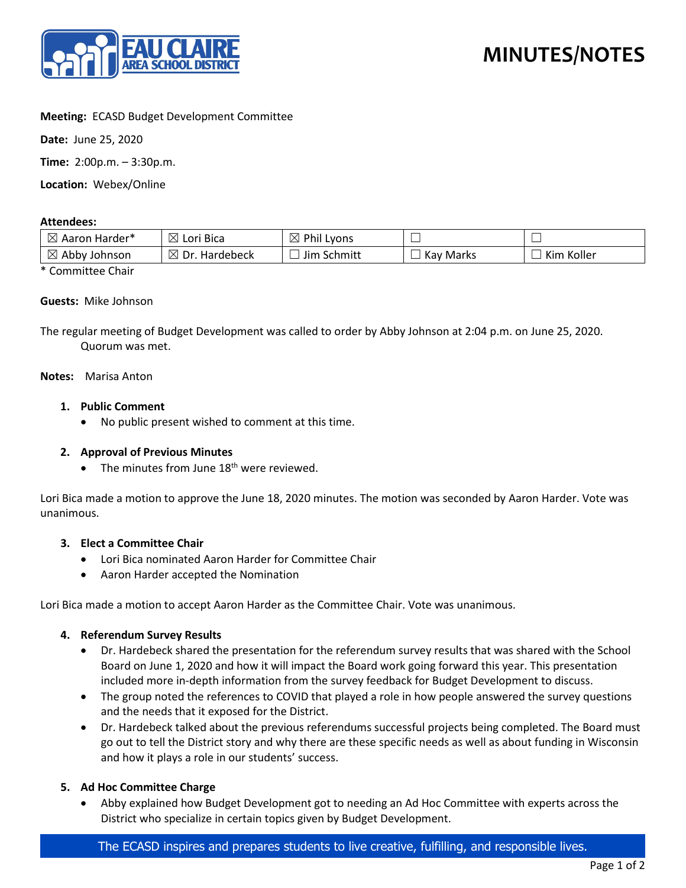

## **Meeting:** ECASD Budget Development Committee

**Date:** June 25, 2020

**Time:** 2:00p.m. – 3:30p.m.

**Location:** Webex/Online

#### **Attendees:**

| $\boxtimes$<br>. Harder*<br>Aaron | $\boxtimes$<br><sup>:</sup> Bica<br>Lori | Phil<br>$\bowtie$<br>Lyons |              | _             |
|-----------------------------------|------------------------------------------|----------------------------|--------------|---------------|
| $\boxtimes$<br>Abby<br>Johnson    | ⊠<br>Dr.<br>Hardebeck                    | Schmitt<br>Jim             | Marks<br>Kav | Koller<br>Kim |

\* Committee Chair

#### **Guests:** Mike Johnson

The regular meeting of Budget Development was called to order by Abby Johnson at 2:04 p.m. on June 25, 2020. Quorum was met.

#### **Notes:** Marisa Anton

## **1. Public Comment**

• No public present wished to comment at this time.

## **2. Approval of Previous Minutes**

• The minutes from June  $18<sup>th</sup>$  were reviewed.

Lori Bica made a motion to approve the June 18, 2020 minutes. The motion was seconded by Aaron Harder. Vote was unanimous.

## **3. Elect a Committee Chair**

- Lori Bica nominated Aaron Harder for Committee Chair
- Aaron Harder accepted the Nomination

Lori Bica made a motion to accept Aaron Harder as the Committee Chair. Vote was unanimous.

## **4. Referendum Survey Results**

- Dr. Hardebeck shared the presentation for the referendum survey results that was shared with the School Board on June 1, 2020 and how it will impact the Board work going forward this year. This presentation included more in-depth information from the survey feedback for Budget Development to discuss.
- The group noted the references to COVID that played a role in how people answered the survey questions and the needs that it exposed for the District.
- Dr. Hardebeck talked about the previous referendums successful projects being completed. The Board must go out to tell the District story and why there are these specific needs as well as about funding in Wisconsin and how it plays a role in our students' success.

## **5. Ad Hoc Committee Charge**

• Abby explained how Budget Development got to needing an Ad Hoc Committee with experts across the District who specialize in certain topics given by Budget Development.

## The ECASD inspires and prepares students to live creative, fulfilling, and responsible lives.